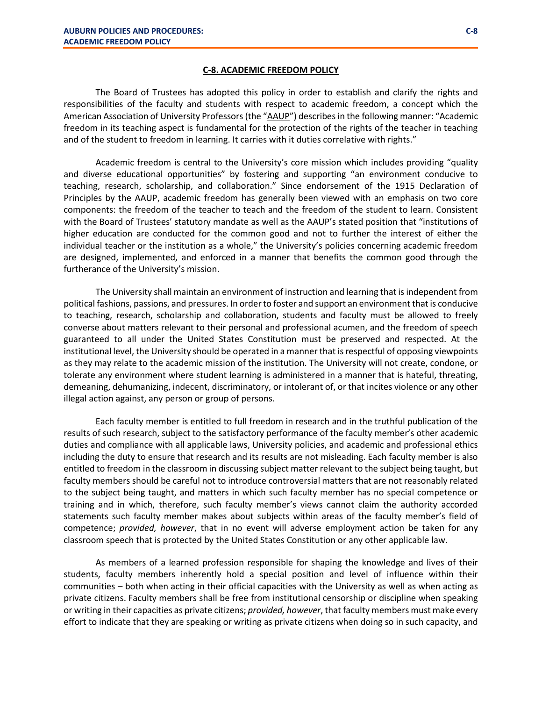## **C-8. ACADEMIC FREEDOM POLICY**

The Board of Trustees has adopted this policy in order to establish and clarify the rights and responsibilities of the faculty and students with respect to academic freedom, a concept which the American Association of University Professors (the "AAUP") describes in the following manner: "Academic freedom in its teaching aspect is fundamental for the protection of the rights of the teacher in teaching and of the student to freedom in learning. It carries with it duties correlative with rights."

Academic freedom is central to the University's core mission which includes providing "quality and diverse educational opportunities" by fostering and supporting "an environment conducive to teaching, research, scholarship, and collaboration." Since endorsement of the 1915 Declaration of Principles by the AAUP, academic freedom has generally been viewed with an emphasis on two core components: the freedom of the teacher to teach and the freedom of the student to learn. Consistent with the Board of Trustees' statutory mandate as well as the AAUP's stated position that "institutions of higher education are conducted for the common good and not to further the interest of either the individual teacher or the institution as a whole," the University's policies concerning academic freedom are designed, implemented, and enforced in a manner that benefits the common good through the furtherance of the University's mission.

The University shall maintain an environment of instruction and learning that is independent from political fashions, passions, and pressures. In order to foster and support an environment that is conducive to teaching, research, scholarship and collaboration, students and faculty must be allowed to freely converse about matters relevant to their personal and professional acumen, and the freedom of speech guaranteed to all under the United States Constitution must be preserved and respected. At the institutional level, the University should be operated in a manner that is respectful of opposing viewpoints as they may relate to the academic mission of the institution. The University will not create, condone, or tolerate any environment where student learning is administered in a manner that is hateful, threatening, demeaning, dehumanizing, indecent, discriminatory, or intolerant of, or that incites violence or any other illegal action against, any person or group of persons.

Each faculty member is entitled to full freedom in research and in the truthful publication of the results of such research, subject to the satisfactory performance of the faculty member's other academic duties and compliance with all applicable laws, University policies, and academic and professional ethics including the duty to ensure that research and its results are not misleading. Each faculty member is also entitled to freedom in the classroom in discussing subject matter relevant to the subject being taught, but faculty members should be careful not to introduce controversial matters that are not reasonably related to the subject being taught, and matters in which such faculty member has no special competence or training and in which, therefore, such faculty member's views cannot claim the authority accorded statements such faculty member makes about subjects within areas of the faculty member's field of competence; *provided, however*, that in no event will adverse employment action be taken for any classroom speech that is protected by the United States Constitution or any other applicable law.

As members of a learned profession responsible for shaping the knowledge and lives of their students, faculty members inherently hold a special position and level of influence within their communities – both when acting in their official capacities with the University as well as when acting as private citizens. Faculty members shall be free from institutional censorship or discipline when speaking or writing in their capacities as private citizens; *provided, however*, that faculty members must make every effort to indicate that they are speaking or writing as private citizens when doing so in such capacity, and